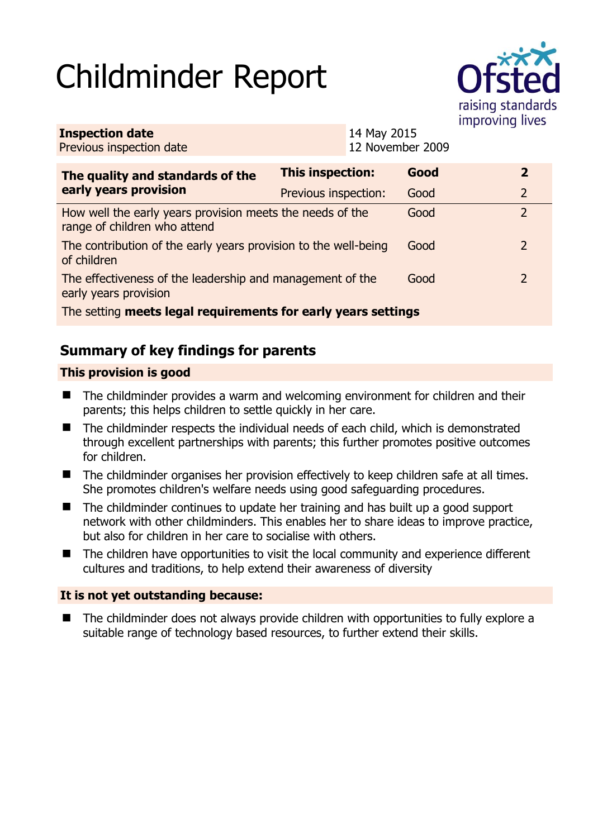# Childminder Report



| <b>Inspection date</b><br>Previous inspection date                                        | 14 May 2015<br>12 November 2009 |      |  |                |  |
|-------------------------------------------------------------------------------------------|---------------------------------|------|--|----------------|--|
| The quality and standards of the<br>early years provision                                 | This inspection:                | Good |  | $\overline{2}$ |  |
|                                                                                           | Previous inspection:            | Good |  | $\overline{2}$ |  |
| How well the early years provision meets the needs of the<br>range of children who attend |                                 | Good |  | $\overline{2}$ |  |
| The contribution of the early years provision to the well-being<br>of children            |                                 | Good |  | $\overline{2}$ |  |
| The effectiveness of the leadership and management of the<br>early years provision        |                                 | Good |  | $\overline{2}$ |  |
| The setting meets legal requirements for early years settings                             |                                 |      |  |                |  |

# **Summary of key findings for parents**

## **This provision is good**

- The childminder provides a warm and welcoming environment for children and their parents; this helps children to settle quickly in her care.
- The childminder respects the individual needs of each child, which is demonstrated through excellent partnerships with parents; this further promotes positive outcomes for children.
- The childminder organises her provision effectively to keep children safe at all times. She promotes children's welfare needs using good safeguarding procedures.
- The childminder continues to update her training and has built up a good support network with other childminders. This enables her to share ideas to improve practice, but also for children in her care to socialise with others.
- The children have opportunities to visit the local community and experience different cultures and traditions, to help extend their awareness of diversity

### **It is not yet outstanding because:**

 The childminder does not always provide children with opportunities to fully explore a suitable range of technology based resources, to further extend their skills.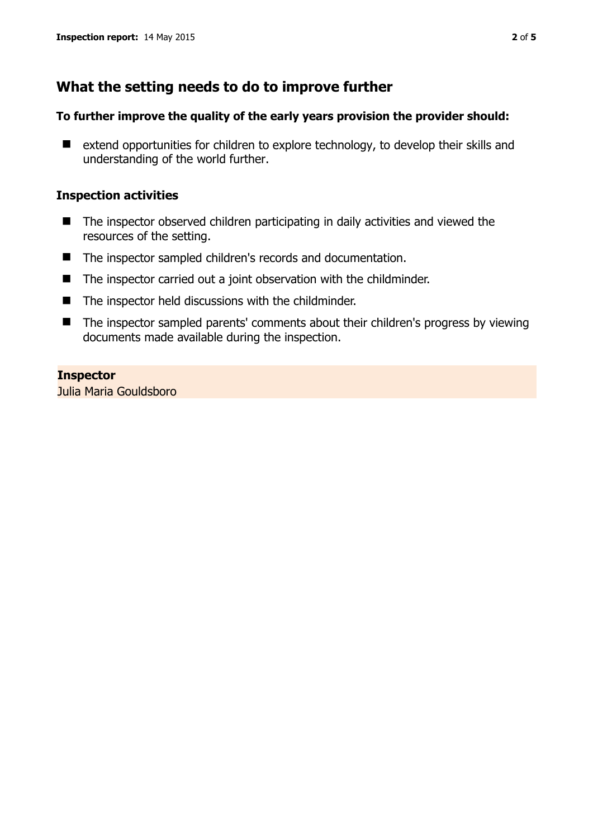## **What the setting needs to do to improve further**

#### **To further improve the quality of the early years provision the provider should:**

■ extend opportunities for children to explore technology, to develop their skills and understanding of the world further.

#### **Inspection activities**

- The inspector observed children participating in daily activities and viewed the resources of the setting.
- The inspector sampled children's records and documentation.
- The inspector carried out a joint observation with the childminder.
- The inspector held discussions with the childminder.
- The inspector sampled parents' comments about their children's progress by viewing documents made available during the inspection.

#### **Inspector**

Julia Maria Gouldsboro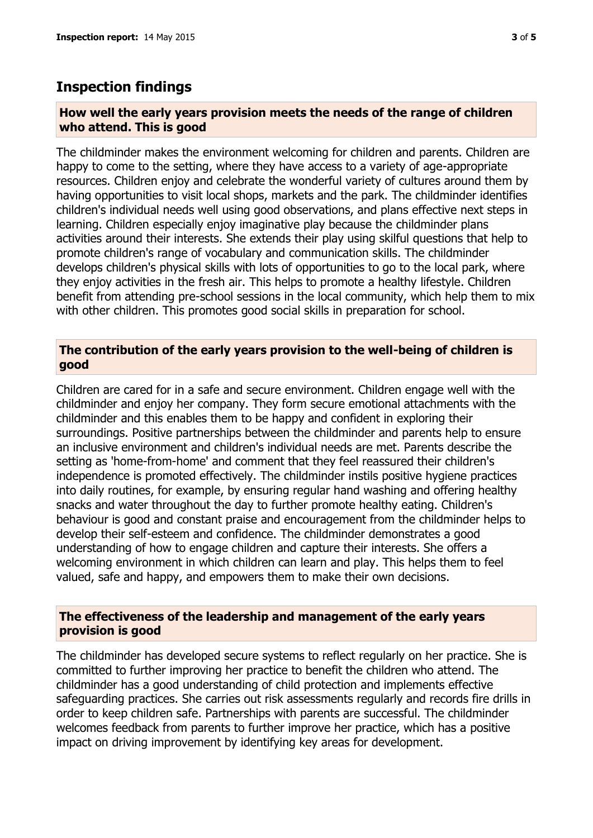## **Inspection findings**

#### **How well the early years provision meets the needs of the range of children who attend. This is good**

The childminder makes the environment welcoming for children and parents. Children are happy to come to the setting, where they have access to a variety of age-appropriate resources. Children enjoy and celebrate the wonderful variety of cultures around them by having opportunities to visit local shops, markets and the park. The childminder identifies children's individual needs well using good observations, and plans effective next steps in learning. Children especially enjoy imaginative play because the childminder plans activities around their interests. She extends their play using skilful questions that help to promote children's range of vocabulary and communication skills. The childminder develops children's physical skills with lots of opportunities to go to the local park, where they enjoy activities in the fresh air. This helps to promote a healthy lifestyle. Children benefit from attending pre-school sessions in the local community, which help them to mix with other children. This promotes good social skills in preparation for school.

#### **The contribution of the early years provision to the well-being of children is good**

Children are cared for in a safe and secure environment. Children engage well with the childminder and enjoy her company. They form secure emotional attachments with the childminder and this enables them to be happy and confident in exploring their surroundings. Positive partnerships between the childminder and parents help to ensure an inclusive environment and children's individual needs are met. Parents describe the setting as 'home-from-home' and comment that they feel reassured their children's independence is promoted effectively. The childminder instils positive hygiene practices into daily routines, for example, by ensuring regular hand washing and offering healthy snacks and water throughout the day to further promote healthy eating. Children's behaviour is good and constant praise and encouragement from the childminder helps to develop their self-esteem and confidence. The childminder demonstrates a good understanding of how to engage children and capture their interests. She offers a welcoming environment in which children can learn and play. This helps them to feel valued, safe and happy, and empowers them to make their own decisions.

#### **The effectiveness of the leadership and management of the early years provision is good**

The childminder has developed secure systems to reflect regularly on her practice. She is committed to further improving her practice to benefit the children who attend. The childminder has a good understanding of child protection and implements effective safeguarding practices. She carries out risk assessments regularly and records fire drills in order to keep children safe. Partnerships with parents are successful. The childminder welcomes feedback from parents to further improve her practice, which has a positive impact on driving improvement by identifying key areas for development.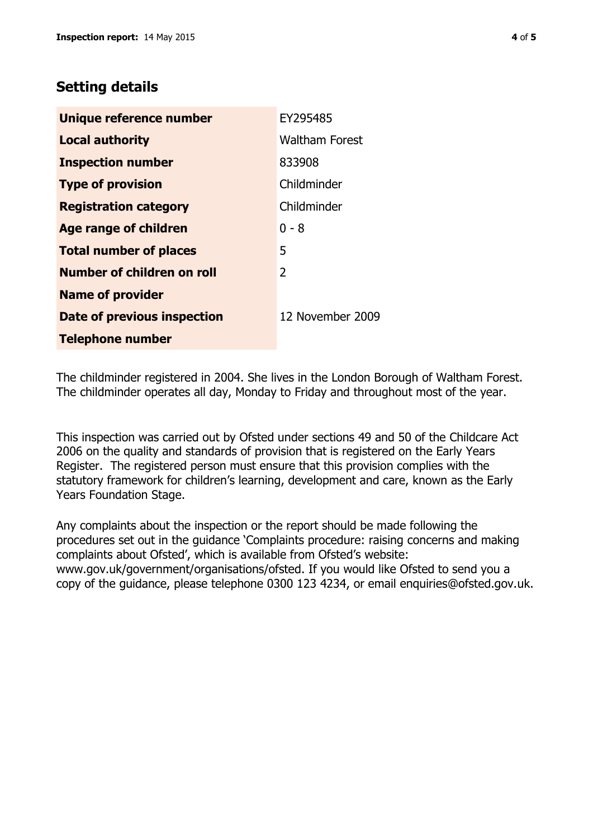## **Setting details**

| <b>Unique reference number</b> | EY295485              |  |  |
|--------------------------------|-----------------------|--|--|
| <b>Local authority</b>         | <b>Waltham Forest</b> |  |  |
| <b>Inspection number</b>       | 833908                |  |  |
| <b>Type of provision</b>       | Childminder           |  |  |
| <b>Registration category</b>   | Childminder           |  |  |
| Age range of children          | $0 - 8$               |  |  |
| <b>Total number of places</b>  | 5                     |  |  |
| Number of children on roll     | 2                     |  |  |
| <b>Name of provider</b>        |                       |  |  |
| Date of previous inspection    | 12 November 2009      |  |  |
| <b>Telephone number</b>        |                       |  |  |

The childminder registered in 2004. She lives in the London Borough of Waltham Forest. The childminder operates all day, Monday to Friday and throughout most of the year.

This inspection was carried out by Ofsted under sections 49 and 50 of the Childcare Act 2006 on the quality and standards of provision that is registered on the Early Years Register. The registered person must ensure that this provision complies with the statutory framework for children's learning, development and care, known as the Early Years Foundation Stage.

Any complaints about the inspection or the report should be made following the procedures set out in the guidance 'Complaints procedure: raising concerns and making complaints about Ofsted', which is available from Ofsted's website: www.gov.uk/government/organisations/ofsted. If you would like Ofsted to send you a copy of the guidance, please telephone 0300 123 4234, or email enquiries@ofsted.gov.uk.